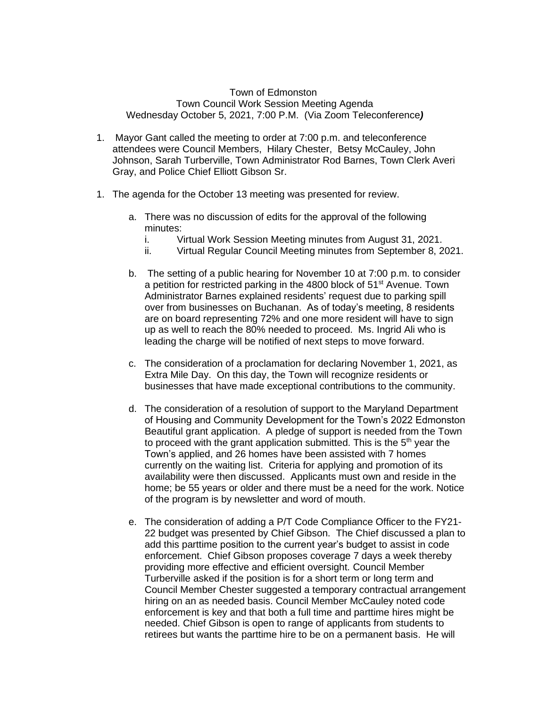## Town of Edmonston Town Council Work Session Meeting Agenda Wednesday October 5, 2021, 7:00 P.M. (Via Zoom Teleconference*)*

- 1. Mayor Gant called the meeting to order at 7:00 p.m. and teleconference attendees were Council Members, Hilary Chester, Betsy McCauley, John Johnson, Sarah Turberville, Town Administrator Rod Barnes, Town Clerk Averi Gray, and Police Chief Elliott Gibson Sr.
- 1. The agenda for the October 13 meeting was presented for review.
	- a. There was no discussion of edits for the approval of the following minutes:
		- i. Virtual Work Session Meeting minutes from August 31, 2021.
		- ii. Virtual Regular Council Meeting minutes from September 8, 2021.
	- b. The setting of a public hearing for November 10 at 7:00 p.m. to consider a petition for restricted parking in the 4800 block of 51<sup>st</sup> Avenue. Town Administrator Barnes explained residents' request due to parking spill over from businesses on Buchanan. As of today's meeting, 8 residents are on board representing 72% and one more resident will have to sign up as well to reach the 80% needed to proceed. Ms. Ingrid Ali who is leading the charge will be notified of next steps to move forward.
	- c. The consideration of a proclamation for declaring November 1, 2021, as Extra Mile Day. On this day, the Town will recognize residents or businesses that have made exceptional contributions to the community.
	- d. The consideration of a resolution of support to the Maryland Department of Housing and Community Development for the Town's 2022 Edmonston Beautiful grant application. A pledge of support is needed from the Town to proceed with the grant application submitted. This is the 5<sup>th</sup> year the Town's applied, and 26 homes have been assisted with 7 homes currently on the waiting list. Criteria for applying and promotion of its availability were then discussed. Applicants must own and reside in the home; be 55 years or older and there must be a need for the work. Notice of the program is by newsletter and word of mouth.
	- e. The consideration of adding a P/T Code Compliance Officer to the FY21- 22 budget was presented by Chief Gibson. The Chief discussed a plan to add this parttime position to the current year's budget to assist in code enforcement. Chief Gibson proposes coverage 7 days a week thereby providing more effective and efficient oversight. Council Member Turberville asked if the position is for a short term or long term and Council Member Chester suggested a temporary contractual arrangement hiring on an as needed basis. Council Member McCauley noted code enforcement is key and that both a full time and parttime hires might be needed. Chief Gibson is open to range of applicants from students to retirees but wants the parttime hire to be on a permanent basis. He will